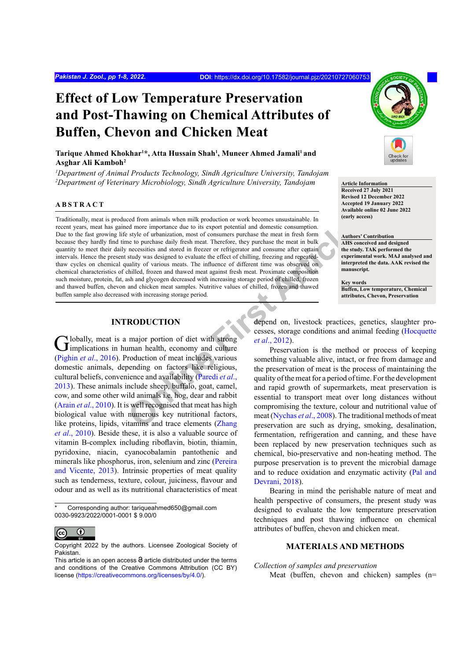# **Effect of Low Temperature Preservation and Post-Thawing on Chemical Attributes of Buffen, Chevon and Chicken Meat**

# **Tarique Ahmed Khokhar1 \*, Atta Hussain Shah1 , Muneer Ahmed Jamali1 and Asghar Ali Kamboh2**

*1 Department of Animal Products Technology, Sindh Agriculture University, Tandojam* <sup>2</sup>Department of Veterinary Microbiology, Sindh Agriculture University, Tandojam **Article Information** 

# **ABSTRACT**

Example the state of the consumption.<br> **ON the state of the state of consumers purchase the meat in fresh form<br>
are to purchase daily fresh meat. Therefore, they purchase the meat in bulk<br> [ne](#page-6-1)cessities and stored in freezer** Traditionally, meat is produced from animals when milk production or work becomes unsustainable. In recent years, meat has gained more importance due to its export potential and domestic consumption. Due to the fast growing life style of urbanization, most of consumers purchase the meat in fresh form because they hardly find time to purchase daily fresh meat. Therefore, they purchase the meat in bulk quantity to meet their daily necessities and stored in freezer or refrigerator and consume after certain intervals. Hence the present study was designed to evaluate the effect of chilling, freezing and repeatedthaw cycles on chemical quality of various meats. The influence of different time was observed on chemical characteristics of chilled, frozen and thawed meat against fresh meat. Proximate composition such moisture, protein, fat, ash and glycogen decreased with increasing storage period of chilled, frozen and thawed buffen, chevon and chicken meat samples. Nutritive values of chilled, frozen and thawed buffen sample also decreased with increasing storage period.

# **INTRODUCTION**

[G](#page-6-0)lobally, meat is a major portion of diet with strong<br>
implications in human health, economy and culture (Pighin *et al*., 2016). Production of meat includes various domestic animals, depending on factors like religious, cultural beliefs, convenience and availability (Paredi *et al*., [2013\)](#page-6-1). These animals include sheep, buffalo, goat, camel, cow, and some other wild animals i.e. hog, dear and rabbit (Arain *et al*[., 2010\)](#page-6-2). It is well recognised that meat has high biological value with numerous key nutritional factors, like proteins, lipids, vitamins and trace elements (Zhang *et al*[., 2010](#page-7-0)). Beside these, it is also a valuable source of vitamin B-complex including riboflavin, biotin, thiamin, pyridoxine, niacin, cyanocobalamin pantothenic and minerals like phosphorus, iron, selenium and zinc ([Pereira](#page-6-3) [and Vicente, 2013\)](#page-6-3). Intrinsic properties of meat quality such as tenderness, texture, colour, juiciness, flavour and odour and as well as its nutritional characteristics of meat

Corresponding author: tariqueahmed650@gmail.com 0030-9923/2022/0001-0001 \$ 9.00/0



Copyright 2022 by the authors. Licensee Zoological Society of Pakistan.



**Received 27 July 2021 Revised 12 December 2022 Accepted 19 January 2022 Available online 02 June 2022 (early access)**

**Authors' Contribution AHS conceived and designed the study. TAK performed the experimental work. MAJ analysed and interpreted the data. AAK revised the manuscript.**

**Key words Buffen, Low temperature, Chemical attributes, Chevon, Preservation**

depend on, livestock practices, genetics, slaughter processes, storage conditions and animal feeding [\(Hocquette](#page-6-4) *et al*., 2012).

Preservation is the method or process of keeping something valuable alive, intact, or free from damage and the preservation of meat is the process of maintaining the quality of the meat for a period of time. For the development and rapid growth of supermarkets, meat preservation is essential to transport meat over long distances without compromising the texture, colour and nutritional value of meat (Nychas *et al*., 2008). The traditional methods of meat preservation are such as drying, smoking, desalination, fermentation, refrigeration and canning, and these have been replaced by new preservation techniques such as chemical, bio-preservative and non-heating method. The purpose preservation is to prevent the microbial damage and to reduce oxidation and enzymatic activity [\(Pal and](#page-6-6) [Devrani, 2018](#page-6-6)).

Bearing in mind the perishable nature of meat and health perspective of consumers, the present study was designed to evaluate the low temperature preservation techniques and post thawing influence on chemical attributes of buffen, chevon and chicken meat.

# **MATERIALS AND METHODS**

#### *Collection of samples and preservation*

Meat (buffen, chevon and chicken) samples (n=

This article is an open access  $\Theta$  article distributed under the terms and conditions of the Creative Commons Attribution (CC BY) license (https://creativecommons.org/licenses/by/4.0/).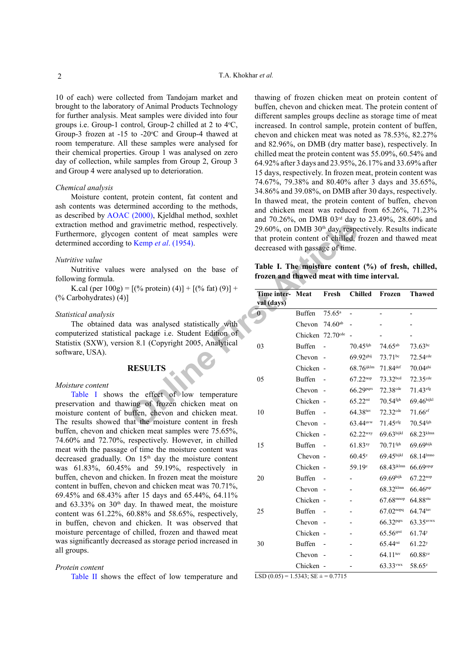10 of each) were collected from Tandojam market and brought to the laboratory of Animal Products Technology for further analysis. Meat samples were divided into four groups i.e. Group-1 control, Group-2 chilled at 2 to 4°C, Group-3 frozen at  $-15$  to  $-20^{\circ}$ C and Group-4 thawed at room temperature. All these samples were analysed for their chemical properties. Group 1 was analysed on zero day of collection, while samples from Group 2, Group 3 and Group 4 were analysed up to deterioration.

#### *Chemical analysis*

Moisture content, protein content, fat content and ash contents was determined according to the methods, as described by AOAC (2000), Kjeldhal method, soxhlet extraction method and gravimetric method, respectively. Furthermore, glycogen content of meat samples were determined according to Kemp *et al*. (1954).

# *Nutritive value*

Nutritive values were analysed on the base of following formula.

K.cal (per  $100g$ ) =  $[(\% \text{ protein}) (4)] + [(% \text{ fat}) (9)] +$ (% Carbohydrates) (4)]

#### *Statistical analysis*

The obtained data was analysed statistically with computerized statistical package i.e. Student Edition of Statistix (SXW), version 8.1 (Copyright 2005, Analytical software, USA).

# **RESULTS**

#### *Moisture content*

[Table I](#page-1-0) shows the effect of low temperature preservation and thawing of frozen chicken meat on moisture content of buffen, chevon and chicken meat. The results showed that the moisture content in fresh buffen, chevon and chicken meat samples were 75.65%, 74.60% and 72.70%, respectively. However, in chilled meat with the passage of time the moisture content was decreased gradually. On 15<sup>th</sup> day the moisture content was 61.83%, 60.45% and 59.19%, respectively in buffen, chevon and chicken. In frozen meat the moisture content in buffen, chevon and chicken meat was 70.71%, 69.45% and 68.43% after 15 days and 65.44%, 64.11% and  $63.33\%$  on  $30<sup>th</sup>$  day. In thawed meat, the moisture content was 61.22%, 60.88% and 58.65%, respectively, in buffen, chevon and chicken. It was observed that moisture percentage of chilled, frozen and thawed meat was significantly decreased as storage period increased in all groups.

#### *Protein content*

[Table II](#page-2-0) shows the effect of low temperature and

thawing of frozen chicken meat on protein content of buffen, chevon and chicken meat. The protein content of different samples groups decline as storage time of meat increased. In control sample, protein content of buffen, chevon and chicken meat was noted as 78.53%, 82.27% and 82.96%, on DMB (dry matter base), respectively. In chilled meat the protein content was 55.09%, 60.54% and 64.92% after 3 days and 23.95%, 26.17% and 33.69% after 15 days, respectively. In frozen meat, protein content was 74.67%, 79.38% and 80.40% after 3 days and 35.65%, 34.86% and 39.08%, on DMB after 30 days, respectively. In thawed meat, the protein content of buffen, chevon and chicken meat was reduced from 65.26%, 71.23% and 70.26%, on DMB 03rd day to 23.49%, 28.60% and 29.60%, on DMB 30th day, respectively. Results indicate that protein content of chilled, frozen and thawed meat decreased with passage of time.

<span id="page-1-0"></span>

|  |  |                                            |  | Table I. The moisture content (%) of fresh, chilled, |
|--|--|--------------------------------------------|--|------------------------------------------------------|
|  |  | frozen and thawed meat with time interval. |  |                                                      |

| gravimetric method, respectively.<br>n content of meat samples were<br>o Kemp et al. (1954). | 29.60%, on DMB 30 <sup>th</sup> day, respectively. Results indicate<br>that protein content of chilled, frozen and thawed mea<br>decreased with passage of time. |                            |                                |                        |                          |                        |
|----------------------------------------------------------------------------------------------|------------------------------------------------------------------------------------------------------------------------------------------------------------------|----------------------------|--------------------------------|------------------------|--------------------------|------------------------|
| were analysed on the base of                                                                 | Table I. The moisture content (%) of fresh, chilled<br>frozen and thawed meat with time interval.                                                                |                            |                                |                        |                          |                        |
| $=[\left(\% \text{ protein}\right)(4)] + \left[\left(\% \text{ fat}\right)(9)\right] +$      | Time inter- Meat<br>val (days)                                                                                                                                   |                            | Fresh                          | <b>Chilled</b>         | Frozen                   | <b>Thawed</b>          |
|                                                                                              | $\mathbf{0}$                                                                                                                                                     | <b>Buffen</b>              | $75.65^a$                      | $\overline{a}$         | $\overline{\phantom{a}}$ | $\overline{a}$         |
| a was analysed statistically with                                                            |                                                                                                                                                                  | Chevon 74.60 <sup>ab</sup> |                                |                        |                          |                        |
| al package i.e. Student Edition of                                                           |                                                                                                                                                                  |                            | Chicken 72.70 <sup>cde</sup> - |                        |                          |                        |
| on 8.1 (Copyright 2005, Analytical                                                           | 03                                                                                                                                                               | <b>Buffen</b>              | $\sim$                         | $70.45$ <sup>fgh</sup> | $74.65^{ab}$             | $73.63^{bc}$           |
|                                                                                              |                                                                                                                                                                  | Chevon -                   |                                | 69.92 <sup>ghij</sup>  | 73.71bc                  | 72.54 <sup>cde</sup>   |
| <b>RESULTS</b>                                                                               |                                                                                                                                                                  | Chicken -                  |                                | $68.76$ ijklm          | $71.84$ def              | $70.04$ <sup>ghi</sup> |
|                                                                                              | 05                                                                                                                                                               | Buffen                     | $\sim$                         | $67.22^{nop}$          | 73.32 <sup>bcd</sup>     | 72.35 <sup>cde</sup>   |
| the effect of low temperature                                                                |                                                                                                                                                                  | Chevon -                   |                                | 66.29pqrs              | 72.38 <sup>cde</sup>     | 71.43 <sup>efg</sup>   |
| ving of frozen chicken meat on                                                               |                                                                                                                                                                  | Chicken -                  |                                | $65.22$ rst            | 70.54 <sup>fgh</sup>     | 69.46hijkl             |
| uffen, chevon and chicken meat.                                                              | 10                                                                                                                                                               | Buffen                     |                                | 64.38tuv               | 72.32 <sup>cde</sup>     | $71.66$ ef             |
| nat the moisture content in fresh                                                            |                                                                                                                                                                  | Chevon -                   |                                | 63.44 <sup>uvw</sup>   | 71.45 <sup>efg</sup>     | $70.54$ <sup>fgh</sup> |
| icken meat samples were 75.65%,                                                              |                                                                                                                                                                  | Chicken -                  |                                | 62.22wxy               | 69.63hijkl               | 68.23klmn              |
| respectively. However, in chilled<br>of time the moisture content was                        | 15                                                                                                                                                               | Buffen                     | $\sim$                         | 61.83xy                | $70.71$ <sup>fgh</sup>   | 69.69hijk              |
| On 15 <sup>th</sup> day the moisture content                                                 |                                                                                                                                                                  | Chevon -                   |                                | $60.45^{z}$            | 69.45hijkl               | 68.14 lmno             |
| 6 and 59.19%, respectively in                                                                |                                                                                                                                                                  | Chicken -                  |                                | 59.19z                 | 68.43jklmn               | 66.69 opqr             |
| icken. In frozen meat the moisture                                                           | 20                                                                                                                                                               | Buffen                     |                                |                        | 69.69hijk                | 67.22nop               |
| on and chicken meat was 70.71%,                                                              |                                                                                                                                                                  | Chevon -                   |                                |                        | 68.32klmn                | 66.46 <sup>pqr</sup>   |
| fter 15 days and 65.44%, 64.11%<br>ay. In thawed meat, the moisture                          |                                                                                                                                                                  | Chicken -                  |                                |                        | $67.68$ <sup>mnop</sup>  | $64.88$ stu            |
| 60.88% and 58.65%, respectively,                                                             | 25                                                                                                                                                               | Buffen                     |                                |                        | $67.02^{n$ opq           | 64.74tuv               |
| d chicken. It was observed that                                                              |                                                                                                                                                                  | Chevon -                   |                                |                        | 66.32 <sup>pqrs</sup>    | 63.35uvwx              |
| f chilled, frozen and thawed meat                                                            |                                                                                                                                                                  | Chicken -                  |                                |                        | $65.56$ <sup>qrst</sup>  | $61.74$ <sup>y</sup>   |
| ased as storage period increased in                                                          | 30                                                                                                                                                               | Buffen                     |                                |                        | 65.44 <sup>rst</sup>     | 61.22 <sup>y</sup>     |
|                                                                                              |                                                                                                                                                                  | Chevon -                   |                                |                        | $64.11^{tuv}$            | $60.88$ yz             |
|                                                                                              |                                                                                                                                                                  | Chicken -                  |                                |                        | 63.33vwx                 | 58.65 <sup>z</sup>     |
|                                                                                              |                                                                                                                                                                  |                            |                                |                        |                          |                        |

 $LSD (0.05) = 1.5343$ ;  $SE \pm 0.7715$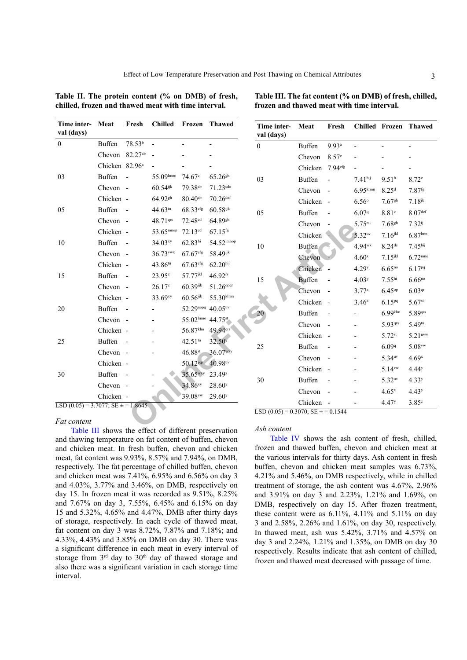<span id="page-2-0"></span>**Table II. The protein content (% on DMB) of fresh, chilled, frozen and thawed meat with time interval.**

| Time inter-<br>val (days)                           | Meat                       | Fresh               | <b>Chilled</b>         | Frozen               | <b>Thawed</b>          | Time inter-<br>val (days)                                       | Meat          | Fresh                    | $\mathbf C$             |
|-----------------------------------------------------|----------------------------|---------------------|------------------------|----------------------|------------------------|-----------------------------------------------------------------|---------------|--------------------------|-------------------------|
| $\boldsymbol{0}$                                    | <b>Buffen</b>              | 78.53 <sup>b</sup>  |                        |                      |                        | $\boldsymbol{0}$                                                | <b>Buffen</b> | $9.93$ <sup>a</sup>      |                         |
|                                                     | Chevon                     | 82.27 <sup>ab</sup> |                        |                      |                        |                                                                 | Chevon        | 8.57c                    |                         |
|                                                     | Chicken 82.96 <sup>a</sup> |                     |                        |                      |                        |                                                                 | Chicken       | 7.94 <sup>efg</sup>      |                         |
| 03                                                  | <b>Buffen</b>              |                     | 55.09 mno              | 74.67c               | $65.26$ <sup>gh</sup>  | 03                                                              | <b>Buffen</b> |                          | 7.                      |
|                                                     | Chevon -                   |                     | $60.54$ <sup>ijk</sup> | 79.38 <sup>ab</sup>  | $71.23$ <sup>cde</sup> |                                                                 | Chevon        |                          | 6.                      |
|                                                     | Chicken -                  |                     | 64.92sh                | $80.40^{ab}$         | $70.26$ def            |                                                                 | Chicken       |                          | 6.                      |
| 05                                                  | <b>Buffen</b>              |                     | $44.63$ tu             | 68.33efg             | $60.58$ ijk            | 05                                                              | <b>Buffen</b> |                          | 6.                      |
|                                                     | Chevon -                   |                     | 48.71 qrs              | 72.48 <sup>cd</sup>  | 64.89sh                |                                                                 | Chevon        |                          | 5.                      |
|                                                     | Chicken -                  |                     | 53.65 <sup>mnop</sup>  | 72.13 <sup>cd</sup>  | $67.15$ <sup>fg</sup>  |                                                                 | Chicken       |                          | $\overline{\mathbf{5}}$ |
| 10                                                  | <b>Buffen</b>              |                     | 34.03 <sup>xy</sup>    | 62.83 <sup>hi</sup>  | 54.52 lmnop            | 10                                                              | <b>Buffen</b> |                          | $\overline{4}$          |
|                                                     | Chevon -                   |                     | 36.73vwx               | 67.67 <sup>efg</sup> | 58.49ijk               |                                                                 | Chevon        |                          | $\overline{4}$          |
|                                                     | Chicken -                  |                     | 43.86tu                | 67.63 <sup>efg</sup> | 62.20 <sup>hij</sup>   |                                                                 | Chicken       |                          | $\overline{4}$          |
| 15                                                  | <b>Buffen</b>              |                     | $23.95^{z}$            | 57.77 <sup>jkl</sup> | $46.92$ rs             | 15                                                              | <b>Buffen</b> |                          | $\overline{4}$          |
|                                                     | Chevon -                   |                     | $26.17^{z}$            | $60.39$ ijk          | 51.26 <sup>opqr</sup>  |                                                                 | Chevon        |                          | 3.                      |
|                                                     | Chicken -                  |                     | 33.69xy                | $60.56$ ijk          | 55.30klmn              |                                                                 | Chicken       | $\overline{\phantom{a}}$ | 3.                      |
| 20                                                  | <b>Buffen</b>              |                     |                        | 52.29nopq 40.05uv    |                        | 20                                                              | <b>Buffen</b> |                          |                         |
|                                                     | Chevon -                   |                     |                        | 55.02 mno 44.75st    |                        |                                                                 | Chevon        |                          |                         |
|                                                     | Chicken -                  |                     |                        | 56.87klm             | 49.94 qrs              |                                                                 | Chicken       |                          |                         |
| 25                                                  | <b>Buffen</b>              |                     |                        | $42.51^{tu}$         | 32.50 <sup>y</sup>     |                                                                 |               |                          |                         |
|                                                     | Chevon -                   |                     |                        | 46.88st              | 36.07wxy               | 25                                                              | <b>Buffen</b> |                          |                         |
|                                                     | Chicken -                  |                     |                        | 50.12 <sup>pqr</sup> | 40.98 uv               |                                                                 | Chevon        |                          |                         |
| 30                                                  | <b>Buffen</b>              |                     |                        | 35.65 <sup>wxy</sup> | $23.49^z$              |                                                                 | Chicken       |                          |                         |
|                                                     | Chevon -                   |                     |                        | $34.86^{xy}$         | 28.60 <sup>y</sup>     | 30                                                              | <b>Buffen</b> |                          |                         |
|                                                     | Chicken -                  |                     |                        | 39.08vw              | $29.60^y$              |                                                                 | Chevon        |                          |                         |
| $\overline{LSD(0.05)} = 3.7077$ ; $SE \pm = 1.8645$ |                            |                     |                        |                      |                        | $\overline{\text{LSD}(0.05)} = 0.3070$ ; $\text{SE} \pm 0.1544$ | Chicken       |                          |                         |
| Fat content                                         |                            | $\alpha$ .          |                        |                      |                        | $4 - 1 - 2 - 3$                                                 |               |                          |                         |

#### *Fat content*

[Table III](#page-2-1) shows the effect of different preservation and thawing temperature on fat content of buffen, chevon and chicken meat. In fresh buffen, chevon and chicken meat, fat content was 9.93%, 8.57% and 7.94%, on DMB, respectively. The fat percentage of chilled buffen, chevon and chicken meat was 7.41%, 6.95% and 6.56% on day 3 and 4.03%, 3.77% and 3.46%, on DMB, respectively on day 15. In frozen meat it was recorded as 9.51%, 8.25% and 7.67% on day 3, 7.55%, 6.45% and 6.15% on day 15 and 5.32%, 4.65% and 4.47%, DMB after thirty days of storage, respectively. In each cycle of thawed meat, fat content on day 3 was 8.72%, 7.87% and 7.18%; and 4.33%, 4.43% and 3.85% on DMB on day 30. There was a significant difference in each meat in every interval of storage from 3<sup>rd</sup> day to 30<sup>th</sup> day of thawed storage and also there was a significant variation in each storage time interval.

<span id="page-2-1"></span>**Table III. The fat content (% on DMB) of fresh, chilled, frozen and thawed meat with time interval.**

| Time inter-<br>val (days) | Meat               | Fresh               | Chilled                | Frozen                | <b>Thawed</b>         |
|---------------------------|--------------------|---------------------|------------------------|-----------------------|-----------------------|
| $\boldsymbol{0}$          | <b>Buffen</b>      | $9.93$ <sup>a</sup> |                        |                       |                       |
|                           | Chevon             | 8.57 <sup>c</sup>   |                        |                       |                       |
|                           | Chicken            | 7.94 <sup>efg</sup> |                        |                       |                       |
| 03                        | <b>Buffen</b>      |                     | $7.41$ hij             | 9.51 <sup>b</sup>     | 8.72 <sup>c</sup>     |
|                           | Chevon             |                     | $6.95$ <sup>klmn</sup> | 8.25 <sup>d</sup>     | $7.87$ <sup>fg</sup>  |
|                           | Chicken            |                     | $6.56^{\circ}$         | $7.67$ <sup>gh</sup>  | $7.18$ <sup>jk</sup>  |
| 05                        | <b>Buffen</b>      |                     | 6.079                  | 8.81c                 | 8.07 <sup>def</sup>   |
|                           | Chevon             |                     | 5.75 <sup>rst</sup>    | $7.68$ <sup>gh</sup>  | $7.32^{ij}$           |
|                           | Chicken            |                     | 5.32 <sup>uv</sup>     | $7.16$ <sup>jkl</sup> | $6.87$ lmn            |
| 10                        | <b>Buffen</b>      |                     | 4.94wx                 | $8.24$ <sup>de</sup>  | 7.45 <sup>hij</sup>   |
|                           | Chevon             |                     | 4.60 <sup>x</sup>      | $7.15$ <sup>jkl</sup> | $6.72^{mno}$          |
|                           | Chicken            |                     | 4.29 <sup>y</sup>      | $6.65^{no}$           | 6.17 <sup>pq</sup>    |
| 15                        | <b>Buffen</b>      |                     | 4.03 <sup>y</sup>      | 7.55 <sup>hi</sup>    | $6.66^{no}$           |
|                           | Chevon             |                     | $3.77^{z}$             | 6.45 <sup>op</sup>    | 6.03 <sup>qr</sup>    |
|                           | Chicken            |                     | $3.46^z$               | $6.15^{pq}$           | $5.67$ <sup>st</sup>  |
| 20                        | <b>Buffen</b>      |                     |                        | $6.99$ klm            | 5.89qrs               |
|                           | Chevon             |                     |                        | 5.93qrs               | $5.49^{\text{tu}}$    |
|                           | Chicken            |                     |                        | $5.72$ <sup>st</sup>  | $5.21$ <sup>uvw</sup> |
| 25                        | <b>Buffen</b>      |                     |                        | 6.099                 | $5.08$ <sup>vw</sup>  |
|                           | Chevon             |                     |                        | 5.34 <sup>uv</sup>    | 4.69 <sup>x</sup>     |
|                           | Chicken            |                     |                        | $5.14$ <sup>vw</sup>  | 4.44 <sup>y</sup>     |
| 30                        | <b>Buffen</b>      |                     |                        | 5.32 <sup>uv</sup>    | 4.33 <sup>y</sup>     |
|                           | Chevon             |                     |                        | $4.65^x$              | 4.43 <sup>y</sup>     |
| <b>LOD</b><br>(0.05)      | Chicken<br>2070.05 |                     |                        | 4.47 <sup>y</sup>     | $3.85^{z}$            |

#### *Ash content*

[Table IV](#page-3-0) shows the ash content of fresh, chilled, frozen and thawed buffen, chevon and chicken meat at the various intervals for thirty days. Ash content in fresh buffen, chevon and chicken meat samples was 6.73%, 4.21% and 5.46%, on DMB respectively, while in chilled treatment of storage, the ash content was 4.67%, 2.96% and 3.91% on day 3 and 2.23%, 1.21% and 1.69%, on DMB, respectively on day 15. After frozen treatment, these content were as  $6.11\%$ ,  $4.11\%$  and  $5.11\%$  on day 3 and 2.58%, 2.26% and 1.61%, on day 30, respectively. In thawed meat, ash was 5.42%, 3.71% and 4.57% on day 3 and 2.24%, 1.21% and 1.35%, on DMB on day 30 respectively. Results indicate that ash content of chilled, frozen and thawed meat decreased with passage of time.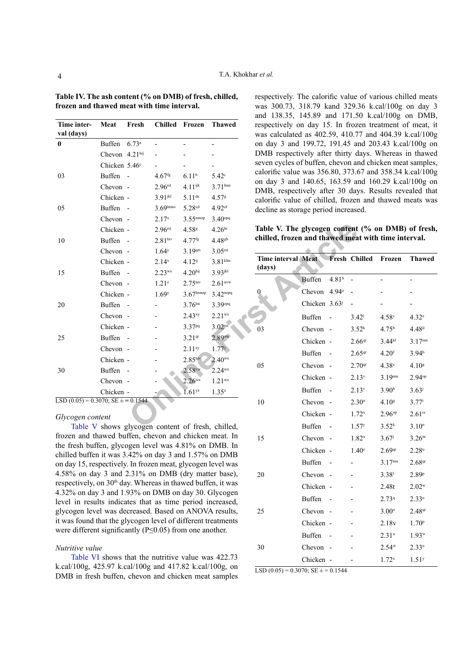| Time inter-<br>val (days)                                                | Meat                      | Fresh | Chilled Frozen        |                         | <b>Thawed</b>                                   | respectively on day 15. In froz<br>was calculated as 402.59, 410.7 |                           |                   |
|--------------------------------------------------------------------------|---------------------------|-------|-----------------------|-------------------------|-------------------------------------------------|--------------------------------------------------------------------|---------------------------|-------------------|
| $\bf{0}$                                                                 | Buffen 6.73 <sup>a</sup>  |       |                       |                         |                                                 | on day 3 and 199.72, 191.45 at                                     |                           |                   |
|                                                                          | Chevon 4.21hij            |       |                       |                         |                                                 | DMB respectively after thirty d                                    |                           |                   |
|                                                                          | Chicken 5.46 <sup>c</sup> |       |                       |                         |                                                 | seven cycles of buffen, chevon an                                  |                           |                   |
| 03                                                                       | Buffen -                  |       | $4.67$ <sup>fg</sup>  | 6.11 <sup>b</sup>       | $5.42^{\circ}$                                  | calorific value was $356.80$ , $373.6$                             |                           |                   |
|                                                                          | Chevon -                  |       | 2.96 <sub>rst</sub>   | $4.11^{ijk}$            | $3.71^{lmn}$                                    | on day 3 and 140.65, 163.59 at<br>DMB, respectively after 30 day   |                           |                   |
|                                                                          | Chicken -                 |       | $3.91$ <sup>jkl</sup> | $5.11^{de}$             | 4.57%                                           | calorific value of chilled, frozer                                 |                           |                   |
| 05                                                                       | Buffen -                  |       | $3.69$ lmno           | 5.28 <sup>cd</sup>      | $4.92$ <sup>ef</sup>                            | decline as storage period increase                                 |                           |                   |
|                                                                          | Chevon -                  |       | $2.17^{x}$            | $3.55$ <sup>mnop</sup>  | 3.40 <sup>opq</sup>                             |                                                                    |                           |                   |
|                                                                          | Chicken -                 |       | 2.96 <sub>rst</sub>   | 4.58 <sup>g</sup>       | 4.26 <sup>hi</sup>                              | Table V. The glycogen content                                      |                           |                   |
| 10                                                                       | Buffen -                  |       | 2.81 <sup>tur</sup>   | 4.77 <sup>fg</sup>      | 4.48 <sup>gh</sup>                              | chilled, frozen and thawed mea                                     |                           |                   |
|                                                                          | Chevon -                  |       | 1.64 <sup>y</sup>     | 3.19 <sub>qrs</sub>     | 3.05 <sub>rst</sub>                             |                                                                    |                           |                   |
|                                                                          | Chicken -                 |       | $2.14^{x}$            | $4.12^{i}$              | $3.81$ <sub>klm</sub>                           | <b>Time interval Meat</b><br>(days)                                |                           | Fresh Ch          |
| 15                                                                       | Buffen -                  |       | $2.23^{wx}$           | 4.20 <sup>hij</sup>     | $3.93$ jkl                                      |                                                                    | <b>Buffen</b>             | 4.81 <sup>b</sup> |
|                                                                          | Chevon -                  |       | $1.21^{z}$            | 2.75 <sup>tur</sup>     | $2.61$ uvw                                      |                                                                    |                           |                   |
|                                                                          | Chicken -                 |       | 1.69 <sup>y</sup>     | $3.67$ <sup>lmnop</sup> | $3.42^{nopq}$                                   | 0                                                                  | Chevon 4.94 <sup>a</sup>  |                   |
| 20                                                                       | Buffen -                  |       |                       | $3.76^{\text{lm}}$      | 3.39opq                                         |                                                                    | Chicken 3.63 <sup>j</sup> |                   |
|                                                                          | Chevon -                  |       |                       | $2.43^{xy}$             | $2.21^{wx}$                                     |                                                                    | <b>Buffen</b>             |                   |
|                                                                          | Chicken -                 |       |                       | 3.37 <sup>pq</sup>      | 3.02 <sub>rst</sub>                             | 03                                                                 | Chevon -                  |                   |
| 25                                                                       | Buffen -                  |       |                       | 3.21 <sup>qr</sup>      | 2.89stu                                         |                                                                    | Chicken -                 |                   |
|                                                                          | Chevon -                  |       |                       | $2.11^{xy}$             | 1.77 <sup>y</sup>                               |                                                                    | <b>Buffen</b>             |                   |
|                                                                          | Chicken -                 |       |                       | 2.85 <sup>tur</sup>     | $2.40^{wx}$                                     | 05                                                                 | Chevon -                  |                   |
| 30                                                                       | Buffen -                  |       |                       | $2.58$ <sup>vw</sup>    | $2.24^{wx}$                                     |                                                                    | Chicken -                 |                   |
|                                                                          | Chevon -                  |       |                       | $2.26^{wx}$             | $1.21^{wx}$                                     |                                                                    |                           |                   |
|                                                                          | Chicken -                 |       |                       | $1.61$ <sup>yz</sup>    | $1.35^{z}$                                      |                                                                    | <b>Buffen</b>             |                   |
| $\overline{\text{LSD}(0.05)} = 0.3070$ ; $\overline{\text{SE}} = 0.1544$ |                           |       |                       |                         |                                                 | 10                                                                 | Chevon -                  |                   |
| Glycogen content                                                         |                           |       |                       |                         |                                                 |                                                                    | Chicken -                 |                   |
|                                                                          |                           |       |                       |                         | Table V shows glycogen content of fresh chilled |                                                                    | <b>Buffen</b>             |                   |

<span id="page-3-0"></span>**Table IV. The ash content (% on DMB) of fresh, chilled, frozen and thawed meat with time interval.**

#### *Glycogen content*

[Table V](#page-3-1) shows glycogen content of fresh, chilled, frozen and thawed buffen, chevon and chicken meat. In the fresh buffen, glycogen level was 4.81% on DMB. In chilled buffen it was 3.42% on day 3 and 1.57% on DMB on day 15, respectively. In frozen meat, glycogen level was 4.58% on day 3 and 2.31% on DMB (dry matter base), respectively, on 30<sup>th</sup> day. Whereas in thawed buffen, it was 4.32% on day 3 and 1.93% on DMB on day 30. Glycogen level in results indicates that as time period increased, glycogen level was decreased. Based on ANOVA results, it was found that the glycogen level of different treatments were different significantly (P≤0.05) from one another.

#### *Nutritive value*

[Table VI](#page-4-0) shows that the nutritive value was 422.73 k.cal/100g, 425.97 k.cal/100g and 417.82 k.cal/100g, on DMB in fresh buffen, chevon and chicken meat samples respectively. The calorific value of various chilled meats was 300.73, 318.79 kand 329.36 k.cal/100g on day 3 and 138.35, 145.89 and 171.50 k.cal/100g on DMB, respectively on day 15. In frozen treatment of meat, it was calculated as 402.59, 410.77 and 404.39 k.cal/100g on day 3 and 199.72, 191.45 and 203.43 k.cal/100g on DMB respectively after thirty days. Whereas in thawed seven cycles of buffen, chevon and chicken meat samples, calorific value was 356.80, 373.67 and 358.34 k.cal/100g on day 3 and 140.65, 163.59 and 160.29 k.cal/100g on DMB, respectively after 30 days. Results revealed that calorific value of chilled, frozen and thawed meats was decline as storage period increased.

<span id="page-3-1"></span>**Table V. The glycogen content (% on DMB) of fresh, chilled, frozen and thawed meat with time interval.**

| Time interval Meat<br>(days) |               |                   | Fresh Chilled      | Frozen               | <b>Thawed</b>      |
|------------------------------|---------------|-------------------|--------------------|----------------------|--------------------|
|                              | <b>Buffen</b> | 4.81 <sup>b</sup> | -                  |                      |                    |
|                              |               |                   |                    |                      |                    |
| $\boldsymbol{0}$             | Chevon        | 4.94 <sup>a</sup> |                    |                      |                    |
|                              | Chicken       | $3.63^{j}$        |                    |                      |                    |
|                              | <b>Buffen</b> |                   | 3.42 <sup>1</sup>  | 4.58 <sup>c</sup>    | 4.32 <sup>e</sup>  |
| 03                           | Chevon        |                   | 3.52 <sup>k</sup>  | 4.75 <sup>b</sup>    | 4.48 <sup>d</sup>  |
|                              | Chicken       |                   | 2.66 <sup>qr</sup> | $3.44^{kl}$          | $3.17^{mn}$        |
|                              | <b>Buffen</b> |                   | 2.65 <sup>qr</sup> | 4.20 <sup>f</sup>    | 3.94 <sup>h</sup>  |
| 05                           | Chevon        |                   | 2.70 <sup>qr</sup> | 4.38 <sup>e</sup>    | 4.10 <sup>8</sup>  |
|                              | Chicken       |                   | 2.13 <sup>v</sup>  | $3.19^{mn}$          | 2.94°P             |
|                              | <b>Buffen</b> |                   | 2.13 <sup>v</sup>  | 3.90 <sup>h</sup>    | $3.63^{j}$         |
| 10                           | Chevon        |                   | $2.30^{\rm u}$     | 4.10 <sup>8</sup>    | $3.77^{i}$         |
|                              | Chicken       |                   | $1.72^{x}$         | 2.96 <sup>op</sup>   | 2.61 <sup>rs</sup> |
|                              | <b>Buffen</b> |                   | 1.57 <sup>y</sup>  | 3.52 <sup>k</sup>    | 3.10 <sup>n</sup>  |
| 15                           | Chevon        |                   | $1.82^{x}$         | 3.67 <sup>j</sup>    | 3.26 <sup>m</sup>  |
|                              | Chicken       |                   | $1.40^z$           | 2.69 <sup>qr</sup>   | $2.28^u$           |
|                              | <b>Buffen</b> |                   |                    | 3.17 <sup>mn</sup>   | 2.68 <sup>qr</sup> |
| 20                           | Chevon        |                   |                    | 3.38 <sup>1</sup>    | 2.89 <sup>p</sup>  |
|                              | Chicken       |                   |                    | 2.48t                | $2.02^w$           |
|                              | <b>Buffen</b> |                   |                    | 2.739                | $2.33^u$           |
| 25                           | Chevon        |                   |                    | $3.00^\circ$         | 2.48 <sup>qr</sup> |
|                              | Chicken       |                   |                    | 2.18v                | 1.70 <sup>p</sup>  |
|                              | <b>Buffen</b> |                   |                    | $2.31^u$             | $1.93^w$           |
| 30                           | Chevon        |                   |                    | $2.54$ <sup>st</sup> | $2.33^u$           |
|                              | Chicken       |                   |                    | $1.72^{x}$           | 1.51 <sup>y</sup>  |

LSD  $(0.05) = 0.3070$ ; SE  $\pm = 0.1544$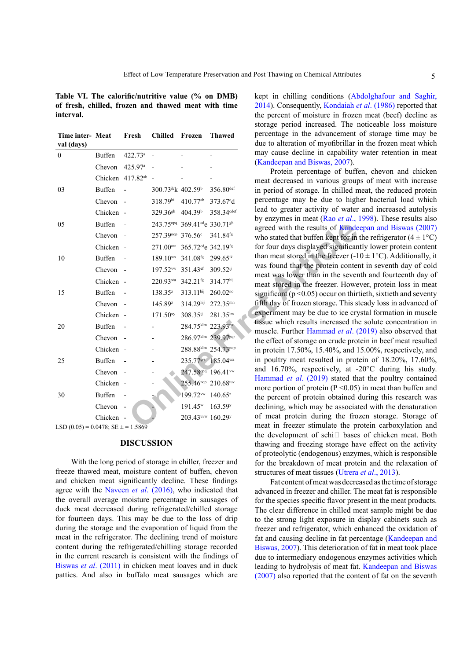<span id="page-4-0"></span>**Table VI. The calorific/nutritive value (% on DMB) of fresh, chilled, frozen and thawed meat with time interval.**

| Time inter- Meat                                          |               | Fresh                          | <b>Chilled</b>                           | Frozen                                              | <b>Thawed</b>         |
|-----------------------------------------------------------|---------------|--------------------------------|------------------------------------------|-----------------------------------------------------|-----------------------|
| val (days)                                                |               |                                |                                          |                                                     |                       |
| $\mathbf{0}$                                              | Buffen        | 422.73a                        |                                          |                                                     |                       |
|                                                           | Chevon        | 425.97 <sup>a</sup>            |                                          |                                                     |                       |
|                                                           |               | Chicken 417.82 <sup>ab</sup> - |                                          |                                                     |                       |
| 03                                                        | Buffen        |                                | 300.73 k 402.59b                         |                                                     | 356.80def             |
|                                                           | Chevon -      |                                | 318.79hi 410.77ab                        |                                                     | 373.67 <sup>c</sup> d |
|                                                           | Chicken -     |                                | 329.36 <sup>gh</sup> 404.39 <sup>b</sup> |                                                     | 358.34cdef            |
| 05                                                        | <b>Buffen</b> |                                |                                          | 243.75°Pq 369.41 <sup>cd</sup> e 330.71sh           |                       |
|                                                           | Chevon -      |                                |                                          | 257.39nop 376.56° 341.84 <sup>fg</sup>              |                       |
|                                                           | Chicken -     |                                |                                          | 271.00mm 365.72de 342.19fg                          |                       |
| 10                                                        | <b>Buffen</b> |                                |                                          | 189.10wx 341.08 <sup>fg</sup> 299.65 <sup>jkl</sup> |                       |
|                                                           | Chevon -      |                                |                                          | 197.52vw 351.43ef                                   | 309.52ij              |
|                                                           | Chicken -     |                                | 220.93stu 342.21fg                       |                                                     | 314.77hij             |
|                                                           |               |                                |                                          |                                                     |                       |
| 15                                                        | Buffen        |                                | 138.35 <sup>z</sup>                      | 313.11hij                                           | $260.02^{no}$         |
|                                                           | Chevon -      |                                | 145.89z                                  | 314.29hij                                           | 272.35mm              |
|                                                           | Chicken -     |                                | 171.50 <sup>xy</sup>                     | 308.35ij                                            | 281.35lm              |
| 20                                                        | <b>Buffen</b> |                                |                                          | 284.75klm 223.93rst                                 |                       |
|                                                           | Chevon -      |                                |                                          |                                                     | 286.97klm 239.97pqr   |
|                                                           | Chicken -     |                                |                                          |                                                     | 288.88klm 254.73nop   |
| 25                                                        | Buffen        |                                |                                          | 235.77 <sup>qrs</sup> 185.04 <sup>wx</sup>          |                       |
|                                                           | Chevon -      |                                |                                          | 247.58 opq 196.41 vw                                |                       |
|                                                           | Chicken -     |                                |                                          | 255.46 <sup>nop</sup> 210.68tuv                     |                       |
| 30                                                        | <b>Buffen</b> |                                |                                          | 199.72vw 140.65 <sup>z</sup>                        |                       |
|                                                           | Chevon        |                                |                                          | $191.45^w$                                          | 163.59 <sup>y</sup>   |
|                                                           | Chicken -     |                                |                                          | 203.43 uvw 160.29y                                  |                       |
| $\overline{SD}(0.05) = 0.0478$ ; $\overline{SE} = 1.5869$ |               |                                |                                          |                                                     |                       |

 $\overline{\text{LSD}(0.05)} = 0.0478$ ;  $\overline{\text{SE}} = 1.5869$ 

# **DISCUSSION**

With the long period of storage in chiller, freezer and freeze thawed meat, moisture content of buffen, chevon and chicken meat significantly decline. These findings agree with the [Naveen](#page-6-8) *et al*. (2016), who indicated that the overall average moisture percentage in sausages of duck meat decreased during refrigerated/chilled storage for fourteen days. This may be due to the loss of drip during the storage and the evaporation of liquid from the meat in the refrigerator. The declining trend of moisture content during the refrigerated/chilling storage recorded in the current research is consistent with the findings of Biswas *et al*[. \(2011\)](#page-6-9) in chicken meat loaves and in duck patties. And also in buffalo meat sausages which are

kept in chilling conditions (Abdolghafour and Saghi[r,](#page-6-10) [2014\)](#page-6-10). Consequently, [Kondaiah](#page-6-11) *et al*. (1986) reported that the percent of moisture in frozen meat (beef) decline as storage period increased. The noticeable loss moisture percentage in the advancement of storage time may be due to alteration of myofibrillar in the frozen meat which may cause decline in capability water retention in meat [\(Kandeepan and Biswas, 2007](#page-6-12)).

Protein percentage of buffen, chevon and chicken meat decreased in various groups of meat with increase in period of storage. In chilled meat, the reduced protein percentage may be due to higher bacterial load which lead to greater activity of water and increased autolysis by enzymes in meat (Rao *et al*[., 1998\)](#page-7-1). These results also agreed with the results of [Kandeepan and Biswas \(2007\)](#page-6-12) who stated that buffen kept for in the refrigerator  $(4 \pm 1^{\circ}C)$ for four days displayed significantly lower protein content than meat stored in the freezer (-10  $\pm$  1°C). Additionally, it was found that the protein content in seventh day of cold meat was lower than in the seventh and fourteenth day of meat stored in the freezer. However, protein loss in meat significant ( $p \le 0.05$ ) occur on thirtieth, sixtieth and seventy fifth day of frozen storage. This steady loss in advanced of experiment may be due to ice crystal formation in muscle tissue which results increased the solute concentration in muscle. Further Hammad *et al*. (2019) also observed that the effect of storage on crude protein in beef meat resulted in protein 17.50%, 15.40%, and 15.00%, respectively, and in poultry meat resulted in protein of 18.20%, 17.60%, and 16.70%, respectively, at -20°C during his study. Hammad *et al*. (2019) stated that the poultry contained more portion of protein  $(P \le 0.05)$  in meat than buffen and the percent of protein obtained during this research was declining, which may be associated with the denaturation of meat protein during the frozen storage. Storage of meat in freezer stimulate the protein carboxylation and the development of schi $\Box$  bases of chicken meat. Both thawing and freezing storage have effect on the activity of proteolytic (endogenous) enzymes, which is responsible for the breakdown of meat protein and the relaxation of structures of meat tissues [\(Utrera](#page-7-2) *et al*., 2013).

Fat content of meat was decreased as the time of storage advanced in freezer and chiller. The meat fat is responsible for the species specific flavor present in the meat products. The clear difference in chilled meat sample might be due to the strong light exposure in display cabinets such as freezer and refrigerator, which enhanced the oxidation of fat and causing decline in fat percentage ([Kandeepan and](#page-6-12) [Biswas, 2007\)](#page-6-12). This deterioration of fat in meat took place due to intermediary endogenous enzymes activities which leading to hydrolysis of meat fat. [Kandeepan and Biswas](#page-6-12) [\(2007\)](#page-6-12) also reported that the content of fat on the seventh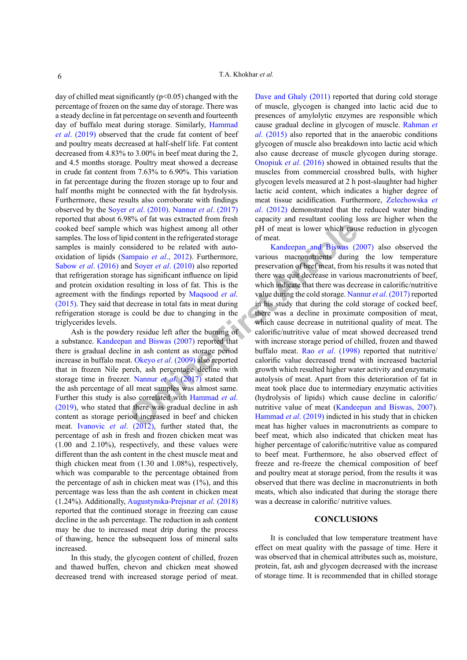day of chilled meat significantly (p<0.05) changed with the percentage of frozen on the same day of storage. There was a steady decline in fat percentage on seventh and fourteenth day of buffalo meat during storage. Similarly, [Hammad](#page-6-13) *et al*[. \(2019\)](#page-6-13) observed that the crude fat content of beef and poultry meats decreased at half-shelf life. Fat content decreased from 4.83% to 3.00% in beef meat during the 2, and 4.5 months storage. Poultry meat showed a decrease in crude fat content from 7.63% to 6.90%. This variation in fat percentage during the frozen storage up to four and half months might be connected with the fat hydrolysis. Furthermore, these results also corroborate with findings observed by the Soyer *et al*. (2010). [Nannur](#page-6-14) *et al*. (2017) reported that about 6.98% of fat was extracted from fresh cooked beef sample which was highest among all other samples. The loss of lipid content in the refrigerated storage samples is mainly considered to be related with autooxidation of lipids (Sampaio *et al*., 2012). Furthermore, Sabow *et al*[. \(2016\)](#page-7-4) and Soyer *et al*. (2010) also reported that refrigeration storage has significant influence on lipid and protein oxidation resulting in loss of fat. This is the agreement with the findings reported by Maqsood *et al*. [\(2015\)](#page-6-15). They said that decrease in total fats in meat during refrigeration storage is could be due to changing in the triglycerides levels.

Ash is the powdery residue left after the burning of a substance. [Kandeepan and Biswas \(2007\)](#page-6-12) reported that there is gradual decline in ash content as storage period increase in buffalo meat. Okeyo *et al*. (2009) also reported that in frozen Nile perch, ash percentage decline with storage time in freezer. Nannur *et al*. (2017) stated that the ash percentage of all meat samples was almost same. Further this study is also correlated with Hammad *et al*. [\(2019\)](#page-6-13), who stated that there was gradual decline in ash content as storage period increased in beef and chicken meat. [Ivanovic](#page-6-17) *et al*. (2012), further stated that, the percentage of ash in fresh and frozen chicken meat was (1.00 and 2.10%), respectively, and these values were different than the ash content in the chest muscle meat and thigh chicken meat from (1.30 and 1.08%), respectively, which was comparable to the percentage obtained from the percentage of ash in chicken meat was  $(1\%)$ , and this percentage was less than the ash content in chicken meat (1.24%). Additionally, Augustynska-Prejsnar *et al*. (2018) reported that the continued storage in freezing can cause decline in the ash percentage. The reduction in ash content may be due to increased meat drip during the process of thawing, hence the subsequent loss of mineral salts increased.

In this study, the glycogen content of chilled, frozen and thawed buffen, chevon and chicken meat showed decreased trend with increased storage period of meat.

[Dave and Ghaly \(2011\)](#page-6-18) reported that during cold storage of muscle, glycogen is changed into lactic acid due to presences of amylolytic enzymes are responsible which cause gradual decline in glycogen of muscle. [Rahman](#page-7-5) *et al*[. \(2015\)](#page-7-5) also reported that in the anaerobic conditions glycogen of muscle also breakdown into lactic acid which also cause decrease of muscle glycogen during storage. Onopiuk *et al*. (2016) showed in obtained results that the muscles from commercial crossbred bulls, with higher glycogen levels measured at 2 h post-slaughter had higher lactic acid content, which indicates a higher degree of meat tissue acidification. Furthermore, [Zelechowska](#page-7-6) *et al*[. \(2012\)](#page-7-6) demonstrated that the reduced water binding capacity and resultant cooling loss are higher when the pH of meat is lower which cause reduction in glycogen of meat.

Which was high[e](#page-6-16)st among all other<br>
id content in the refrigerated storage<br>
id content in the refrigerated storage<br>
of meat.<br>
Insidered to be related with auto-<br> **Content Arthuge Content Arthuge Systems are all (2010)** als Kandeepan and Biswas (2007) also observed the various macronutrients during the low temperature preservation of beef meat, from his results it was noted that there was quit decrease in various macronutrients of beef, which indicate that there was decrease in calorific/nutritive value during the cold storage. [Nannur](#page-6-14) *et al*. (2017) reported in his study that during the cold storage of cocked beef, there was a decline in proximate composition of meat, which cause decrease in nutritional quality of meat. The calorific/nutritive value of meat showed decreased trend with increase storage period of chilled, frozen and thawed buffalo meat. Rao *et al*. (1998) reported that nutritive/ calorific value decreased trend with increased bacterial growth which resulted higher water activity and enzymatic autolysis of meat. Apart from this deterioration of fat in meat took place due to intermediary enzymatic activities (hydrolysis of lipids) which cause decline in calorific/ nutritive value of meat ([Kandeepan and Biswas, 2007](#page-6-12)). Hammad *et al*. (2019) indicted in his study that in chicken meat has higher values in macronutrients as compare to beef meat, which also indicated that chicken meat has higher percentage of calorific/nutritive value as compared to beef meat. Furthermore, he also observed effect of freeze and re-freeze the chemical composition of beef and poultry meat at storage period, from the results it was observed that there was decline in macronutrients in both meats, which also indicated that during the storage there was a decrease in calorific/ nutritive values.

#### **CONCLUSIONS**

It is concluded that low temperature treatment have effect on meat quality with the passage of time. Here it was observed that in chemical attributes such as, moisture, protein, fat, ash and glycogen decreased with the increase of storage time. It is recommended that in chilled storage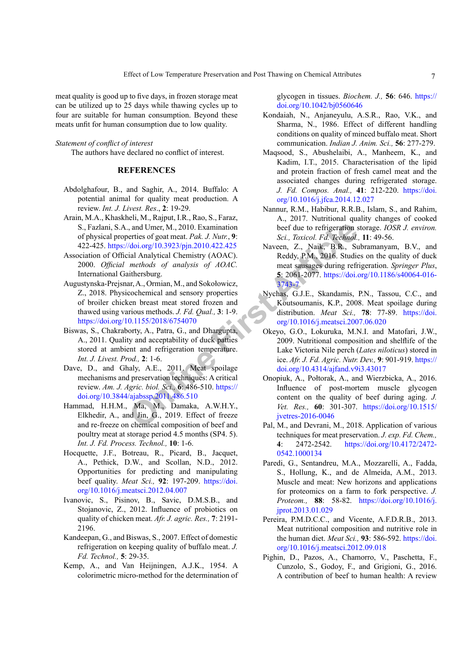meat quality is good up to five days, in frozen storage meat can be utilized up to 25 days while thawing cycles up to four are suitable for human consumption. Beyond these meats unfit for human consumption due to low quality.

# *Statement of conflict of interest*

The authors have declared no conflict of interest.

# **REFERENCES**

- <span id="page-6-10"></span>Abdolghafour, B., and Saghir, A., 2014. Buffalo: A potential animal for quality meat production. A review. *Int. J. Livest. Res*., **2**: 19-29.
- <span id="page-6-2"></span>Arain, M.A., Khaskheli, M., Rajput, I.R., Rao, S., Faraz, S., Fazlani, S.A., and Umer, M., 2010. Examination of physical properties of goat meat. *Pak. J. Nutr.*, **9**: 422-425. https://doi.org/10.3923/pjn.2010.422.425
- Association of Official Analytical Chemistry (AOAC). 2000. *Official methods of analysis of AOAC.* International Gaithersburg.
- 1, and Umer, M., 2010. Examination<br>
online ties of goat meat. Pak. J. Nutr., 9:<br>
Sci., Toxicol. Fd. Technol.<br>
(doi.org/10.3923/pjn.2010.422.425<br>
methods of analysis of AOAC.<br>
methods of analysis of AOAC.<br>
methods of analys Augustynska-Prejsnar, A., Ormian, M., and Sokołowicz, Z., 2018. Physicochemical and sensory properties of broiler chicken breast meat stored frozen and thawed using various methods. *J. Fd. Qual.,* **3**: 1-9. <https://doi.org/10.1155/2018/6754070>
- <span id="page-6-9"></span>Biswas, S., Chakraborty, A., Patra, G., and Dhargupta, A., 2011. Quality and acceptability of duck patties stored at ambient and refrigeration temperature. *Int. J. Livest. Prod.,* **2**: 1-6.
- <span id="page-6-18"></span>Dave, D., and Ghaly, A.E., 2011. Meat spoilage mechanisms and preservation techniques: A critical review. *Am. J. Agric. biol. Sci.,* **6**: 486-510. https:// [doi.org/10.3844/ajabssp.2011.486.510](https://doi.org/10.3844/ajabssp.2011.486.510)
- <span id="page-6-13"></span>Hammad, H.H.M., Ma, M., Damaka, A.W.H.Y., Elkhedir, A., and Jin, G., 2019. Effect of freeze and re-freeze on chemical composition of beef and poultry meat at storage period 4.5 months (SP4. 5). *Int. J. Fd. Process. Technol.,* **10**: 1-6.
- <span id="page-6-4"></span>Hocquette, J.F., Botreau, R., Picard, B., Jacquet, A., Pethick, D.W., and Scollan, N.D., 2012. Opportunities for predicting and manipulating beef quality. *Meat Sci.,* **92**: 197-209. [https://doi.](https://doi.org/10.1016/j.meatsci.2012.04.007) [org/10.1016/j.meatsci.2012.04.007](https://doi.org/10.1016/j.meatsci.2012.04.007)
- <span id="page-6-17"></span>Ivanovic, S., Pisinov, B., Savic, D.M.S.B., and Stojanovic, Z., 2012. Influence of probiotics on quality of chicken meat. *Afr. J. agric. Res.,* **7**: 2191- 2196.
- <span id="page-6-12"></span>Kandeepan, G., and Biswas, S., 2007. Effect of domestic refrigeration on keeping quality of buffalo meat. *J. Fd. Technol.,* **5**: 29-35.
- <span id="page-6-7"></span>Kemp, A., and Van Heijningen, A.J.K., 1954. A colorimetric micro-method for the determination of

glycogen in tissues. *Biochem. J.,* **56**: 646. [https://](https://doi.org/10.1042/bj0560646) [doi.org/10.1042/bj0560646](https://doi.org/10.1042/bj0560646)

- <span id="page-6-11"></span>Kondaiah, N., Anjaneyulu, A.S.R., Rao, V.K., and Sharma, N., 1986. Effect of different handling conditions on quality of minced buffalo meat. Short communication. *Indian J. Anim. Sci.,* **56**: 277-279.
- <span id="page-6-15"></span>Maqsood, S., Abushelaibi, A., Manheem, K., and Kadim, I.T., 2015. Characterisation of the lipid and protein fraction of fresh camel meat and the associated changes during refrigerated storage. *J. Fd. Compos. Anal.,* **41**: 212-220. [https://doi.](https://doi.org/10.1016/j.jfca.2014.12.027) [org/10.1016/j.jfca.2014.12.027](https://doi.org/10.1016/j.jfca.2014.12.027)
- <span id="page-6-14"></span>Nannur, R.M., Habibur, R.R.B., Islam, S., and Rahim, A., 2017. Nutritional quality changes of cooked beef due to refrigeration storage. *IOSR J. environ. Sci., Toxicol. Fd. Technol.,* **11**: 49-56.
- <span id="page-6-8"></span>Naveen, Z., Naik, B.R., Subramanyam, B.V., and Reddy, P.M., 2016. Studies on the quality of duck meat sausages during refrigeration. *Springer Plus*, **5**: 2061-2077. [https://doi.org/10.1186/s40064-016-](https://doi.org/10.1186/s40064-016-3743-7) 3743-7
- <span id="page-6-5"></span>Nychas, G.J.E., Skandamis, P.N., Tassou, C.C., and Koutsoumanis, K.P., 2008. Meat spoilage during distribution. *Meat Sci.,* **78**: 77-89. [https://doi.](https://doi.org/10.1016/j.meatsci.2007.06.020) [org/10.1016/j.meatsci.2007.06.020](https://doi.org/10.1016/j.meatsci.2007.06.020)
- <span id="page-6-16"></span>Okeyo, G.O., Lokuruka, M.N.I. and Matofari, J.W., 2009. Nutritional composition and shelflife of the Lake Victoria Nile perch (*Lates niloticus*) stored in ice. *Afr. J. Fd. Agric. Nutr. Dev.,* **9**: 901-919. [https://](https://doi.org/10.4314/ajfand.v9i3.43017) [doi.org/10.4314/ajfand.v9i3.43017](https://doi.org/10.4314/ajfand.v9i3.43017)
- Onopiuk, A., Połtorak, A., and Wierzbicka, A., 2016. Influence of post-mortem muscle glycogen content on the quality of beef during aging. *J. Vet. Res.,* **60**: 301-307. [https://doi.org/10.1515/](https://doi.org/10.1515/jvetres-2016-0046) jvetres-2016-0046
- <span id="page-6-6"></span>Pal, M., and Devrani, M., 2018. Application of various techniques for meat preservation. *J. exp. Fd. Chem.,* **4**: 2472-2542. [https://doi.org/10.4172/2472-](https://doi.org/10.4172/2472-0542.1000134) [0542.1000134](https://doi.org/10.4172/2472-0542.1000134)
- <span id="page-6-1"></span>Paredi, G., Sentandreu, M.A., Mozzarelli, A., Fadda, S., Hollung, K., and de Almeida, A.M., 2013. Muscle and meat: New horizons and applications for proteomics on a farm to fork perspective. *J. Proteom.,* **88**: 58-82. [https://doi.org/10.1016/j.](https://doi.org/10.1016/j.jprot.2013.01.029) [jprot.2013.01.029](https://doi.org/10.1016/j.jprot.2013.01.029)
- <span id="page-6-3"></span>Pereira, P.M.D.C.C., and Vicente, A.F.D.R.B., 2013. Meat nutritional composition and nutritive role in the human diet. *Meat Sci.,* **93**: 586-592. [https://doi.](https://doi.org/10.1016/j.meatsci.2012.09.018) [org/10.1016/j.meatsci.2012.09.018](https://doi.org/10.1016/j.meatsci.2012.09.018)
- <span id="page-6-0"></span>Pighin, D., Pazos, A., Chamorro, V., Paschetta, F., Cunzolo, S., Godoy, F., and Grigioni, G., 2016. A contribution of beef to human health: A review